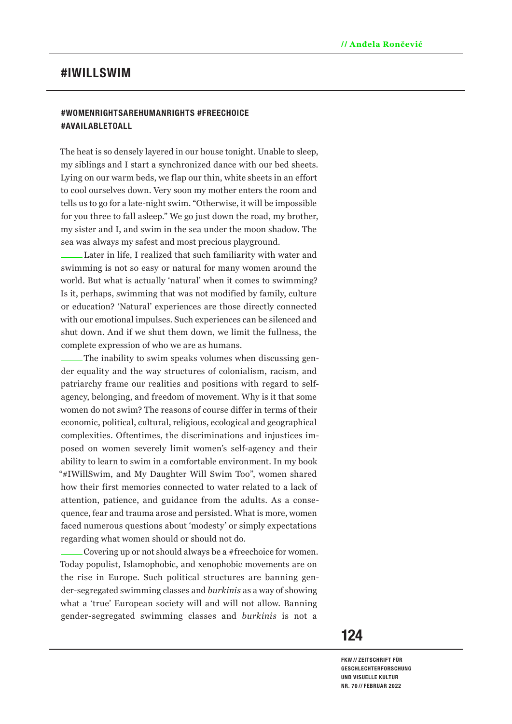# **#IWILLSWIM**

# **#WOMENRIGHTSAREHUMANRIGHTS #FREECHOICE #AVAILABLETOALL**

The heat is so densely layered in our house tonight. Unable to sleep, my siblings and I start a synchronized dance with our bed sheets. Lying on our warm beds, we flap our thin, white sheets in an effort to cool ourselves down. Very soon my mother enters the room and tells us to go for a late-night swim. "Otherwise, it will be impossible for you three to fall asleep." We go just down the road, my brother, my sister and I, and swim in the sea under the moon shadow. The sea was always my safest and most precious playground.

Later in life, I realized that such familiarity with water and swimming is not so easy or natural for many women around the world. But what is actually 'natural' when it comes to swimming? Is it, perhaps, swimming that was not modified by family, culture or education? 'Natural' experiences are those directly connected with our emotional impulses. Such experiences can be silenced and shut down. And if we shut them down, we limit the fullness, the complete expression of who we are as humans.

The inability to swim speaks volumes when discussing gender equality and the way structures of colonialism, racism, and patriarchy frame our realities and positions with regard to selfagency, belonging, and freedom of movement. Why is it that some women do not swim? The reasons of course differ in terms of their economic, political, cultural, religious, ecological and geographical complexities. Oftentimes, the discriminations and injustices imposed on women severely limit women's self-agency and their ability to learn to swim in a comfortable environment. In my book "#IWillSwim, and My Daughter Will Swim Too", women shared how their first memories connected to water related to a lack of attention, patience, and guidance from the adults. As a consequence, fear and trauma arose and persisted. What is more, women faced numerous questions about 'modesty' or simply expectations regarding what women should or should not do.

Covering up or not should always be a #freechoice for women. Today populist, Islamophobic, and xenophobic movements are on the rise in Europe. Such political structures are banning gender-segregated swimming classes and *burkinis* as a way of showing what a 'true' European society will and will not allow. Banning gender-segregated swimming classes and *burkinis* is not a

# **124**

**FKW // ZEITSCHRIFT FÜR GESCHLECHTERFORSCHUNG UND VISUELLE KULTUR NR. 70 // FEBRUAR 2022**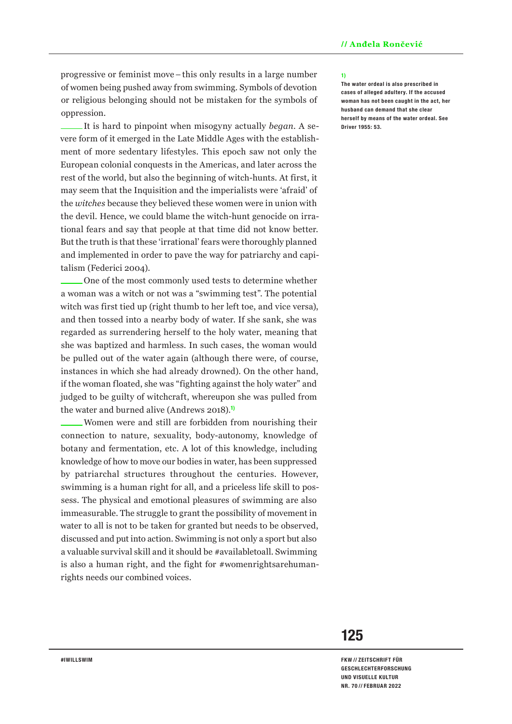progressive or feminist move–this only results in a large number of women being pushed away from swimming. Symbols of devotion or religious belonging should not be mistaken for the symbols of oppression.

It is hard to pinpoint when misogyny actually *began*. A severe form of it emerged in the Late Middle Ages with the establishment of more sedentary lifestyles. This epoch saw not only the European colonial conquests in the Americas, and later across the rest of the world, but also the beginning of witch-hunts. At first, it may seem that the Inquisition and the imperialists were 'afraid' of the *witches* because they believed these women were in union with the devil. Hence, we could blame the witch-hunt genocide on irrational fears and say that people at that time did not know better. But the truth is that these 'irrational' fears were thoroughly planned and implemented in order to pave the way for patriarchy and capitalism (Federici 2004).

One of the most commonly used tests to determine whether a woman was a witch or not was a "swimming test". The potential witch was first tied up (right thumb to her left toe, and vice versa), and then tossed into a nearby body of water. If she sank, she was regarded as surrendering herself to the holy water, meaning that she was baptized and harmless. In such cases, the woman would be pulled out of the water again (although there were, of course, instances in which she had already drowned). On the other hand, if the woman floated, she was "fighting against the holy water" and judged to be guilty of witchcraft, whereupon she was pulled from the water and burned alive (Andrews 2018).**1)**

Women were and still are forbidden from nourishing their connection to nature, sexuality, body-autonomy, knowledge of botany and fermentation, etc. A lot of this knowledge, including knowledge of how to move our bodies in water, has been suppressed by patriarchal structures throughout the centuries. However, swimming is a human right for all, and a priceless life skill to possess. The physical and emotional pleasures of swimming are also immeasurable. The struggle to grant the possibility of movement in water to all is not to be taken for granted but needs to be observed, discussed and put into action. Swimming is not only a sport but also a valuable survival skill and it should be #availabletoall. Swimming is also a human right, and the fight for #womenrightsarehumanrights needs our combined voices.

## **1)**

**The water ordeal is also prescribed in cases of alleged adultery. If the accused woman has not been caught in the act, her husband can demand that she clear herself by means of the water ordeal. See Driver 1955: 53.**